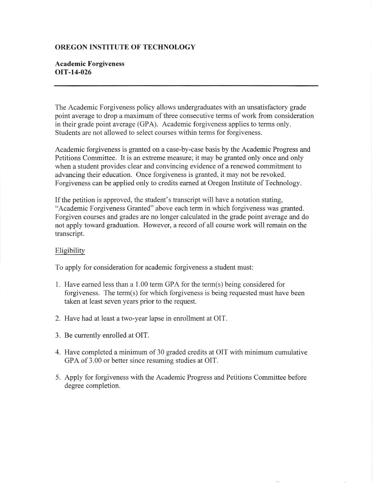## OREGON INSTITUTE OF TECHNOLOGY

## Academic Forgiveness OIT-14-026

The Academic Forgiveness policy allows undergraduates with an unsatisfactory grade point average to drop a maximum of three consecutive terms of work from consideration in their grade point average (GPA). Academic forgiveness applies to terms only. Students are not allowed to select courses within terms for forgiveness.

Academic forgiveness is granted on a case-by-case basis by the Academic Progress and Petitions Committee. It is an extreme measure; it may be granted only once and only when a student provides clear and convincing evidence of a renewed commitment to advancing their education. Once forgiveness is granted, it may not be revoked. Forgiveness can be applied only to credits earned at Oregon Institute of Technology.

If the petition is approved, the student's transcript will have a notation stating, "Academic Forgiveness Granted" above each term in which forgiveness was granted. Forgiven courses and grades are no longer calculated in the grade point average and do not apply toward graduation. However, a record of all course work will remain on the transcript.

## Eligibility

To apply for consideration for academic forgiveness a student must:

- 1. Have earned less than a 1.00 term GPA for the term(s) being considered for forgiveness. The term(s) for which forgiveness is being requested must have been taken at least seven years prior to the request.
- 2. Have had at least a two-year lapse in emollment at OIT.
- 3. Be currently enrolled at OIT.
- 4. Have completed a minimum of 30 graded credits at OIT with minimum cumulative GPA of 3.00 or better since resuming studies at OIT.
- 5. Apply for forgiveness with the Academic Progress and Petitions Committee before degree completion.